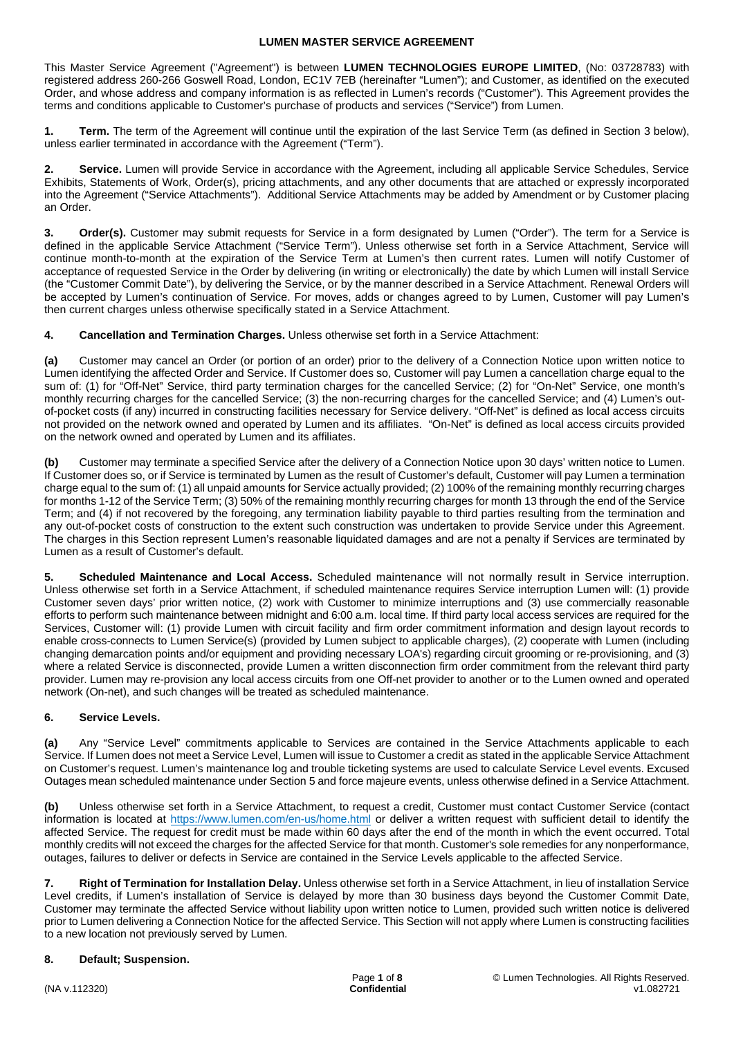This Master Service Agreement ("Agreement") is between **LUMEN TECHNOLOGIES EUROPE LIMITED**, (No: 03728783) with registered address 260-266 Goswell Road, London, EC1V 7EB (hereinafter "Lumen"); and Customer, as identified on the executed Order, and whose address and company information is as reflected in Lumen's records ("Customer"). This Agreement provides the terms and conditions applicable to Customer's purchase of products and services ("Service") from Lumen.

**1. Term.** The term of the Agreement will continue until the expiration of the last Service Term (as defined in Section 3 below), unless earlier terminated in accordance with the Agreement ("Term").

**2. Service.** Lumen will provide Service in accordance with the Agreement, including all applicable Service Schedules, Service Exhibits, Statements of Work, Order(s), pricing attachments, and any other documents that are attached or expressly incorporated into the Agreement ("Service Attachments"). Additional Service Attachments may be added by Amendment or by Customer placing an Order.

**3. Order(s).** Customer may submit requests for Service in a form designated by Lumen ("Order"). The term for a Service is defined in the applicable Service Attachment ("Service Term"). Unless otherwise set forth in a Service Attachment, Service will continue month-to-month at the expiration of the Service Term at Lumen's then current rates. Lumen will notify Customer of acceptance of requested Service in the Order by delivering (in writing or electronically) the date by which Lumen will install Service (the "Customer Commit Date"), by delivering the Service, or by the manner described in a Service Attachment. Renewal Orders will be accepted by Lumen's continuation of Service. For moves, adds or changes agreed to by Lumen, Customer will pay Lumen's then current charges unless otherwise specifically stated in a Service Attachment.

**4. Cancellation and Termination Charges.** Unless otherwise set forth in a Service Attachment:

**(a)** Customer may cancel an Order (or portion of an order) prior to the delivery of a Connection Notice upon written notice to Lumen identifying the affected Order and Service. If Customer does so, Customer will pay Lumen a cancellation charge equal to the sum of: (1) for "Off-Net" Service, third party termination charges for the cancelled Service; (2) for "On-Net" Service, one month's monthly recurring charges for the cancelled Service; (3) the non-recurring charges for the cancelled Service; and (4) Lumen's outof-pocket costs (if any) incurred in constructing facilities necessary for Service delivery. "Off-Net" is defined as local access circuits not provided on the network owned and operated by Lumen and its affiliates. "On-Net" is defined as local access circuits provided on the network owned and operated by Lumen and its affiliates.

**(b)** Customer may terminate a specified Service after the delivery of a Connection Notice upon 30 days' written notice to Lumen. If Customer does so, or if Service is terminated by Lumen as the result of Customer's default, Customer will pay Lumen a termination charge equal to the sum of: (1) all unpaid amounts for Service actually provided; (2) 100% of the remaining monthly recurring charges for months 1-12 of the Service Term; (3) 50% of the remaining monthly recurring charges for month 13 through the end of the Service Term; and (4) if not recovered by the foregoing, any termination liability payable to third parties resulting from the termination and any out-of-pocket costs of construction to the extent such construction was undertaken to provide Service under this Agreement. The charges in this Section represent Lumen's reasonable liquidated damages and are not a penalty if Services are terminated by Lumen as a result of Customer's default.

**5. Scheduled Maintenance and Local Access.** Scheduled maintenance will not normally result in Service interruption. Unless otherwise set forth in a Service Attachment, if scheduled maintenance requires Service interruption Lumen will: (1) provide Customer seven days' prior written notice, (2) work with Customer to minimize interruptions and (3) use commercially reasonable efforts to perform such maintenance between midnight and 6:00 a.m. local time. If third party local access services are required for the Services, Customer will: (1) provide Lumen with circuit facility and firm order commitment information and design layout records to enable cross-connects to Lumen Service(s) (provided by Lumen subject to applicable charges), (2) cooperate with Lumen (including changing demarcation points and/or equipment and providing necessary LOA's) regarding circuit grooming or re-provisioning, and (3) where a related Service is disconnected, provide Lumen a written disconnection firm order commitment from the relevant third party provider. Lumen may re-provision any local access circuits from one Off-net provider to another or to the Lumen owned and operated network (On-net), and such changes will be treated as scheduled maintenance.

# **6. Service Levels.**

**(a)** Any "Service Level" commitments applicable to Services are contained in the Service Attachments applicable to each Service. If Lumen does not meet a Service Level, Lumen will issue to Customer a credit as stated in the applicable Service Attachment on Customer's request. Lumen's maintenance log and trouble ticketing systems are used to calculate Service Level events. Excused Outages mean scheduled maintenance under Section 5 and force majeure events, unless otherwise defined in a Service Attachment.

**(b)** Unless otherwise set forth in a Service Attachment, to request a credit, Customer must contact Customer Service (contact information is located at <https://www.lumen.com/en-us/home.html> or deliver a written request with sufficient detail to identify the affected Service. The request for credit must be made within 60 days after the end of the month in which the event occurred. Total monthly credits will not exceed the charges for the affected Service for that month. Customer's sole remedies for any nonperformance, outages, failures to deliver or defects in Service are contained in the Service Levels applicable to the affected Service.

**7. Right of Termination for Installation Delay.** Unless otherwise set forth in a Service Attachment, in lieu of installation Service Level credits, if Lumen's installation of Service is delayed by more than 30 business days beyond the Customer Commit Date, Customer may terminate the affected Service without liability upon written notice to Lumen, provided such written notice is delivered prior to Lumen delivering a Connection Notice for the affected Service. This Section will not apply where Lumen is constructing facilities to a new location not previously served by Lumen.

# **8. Default; Suspension.**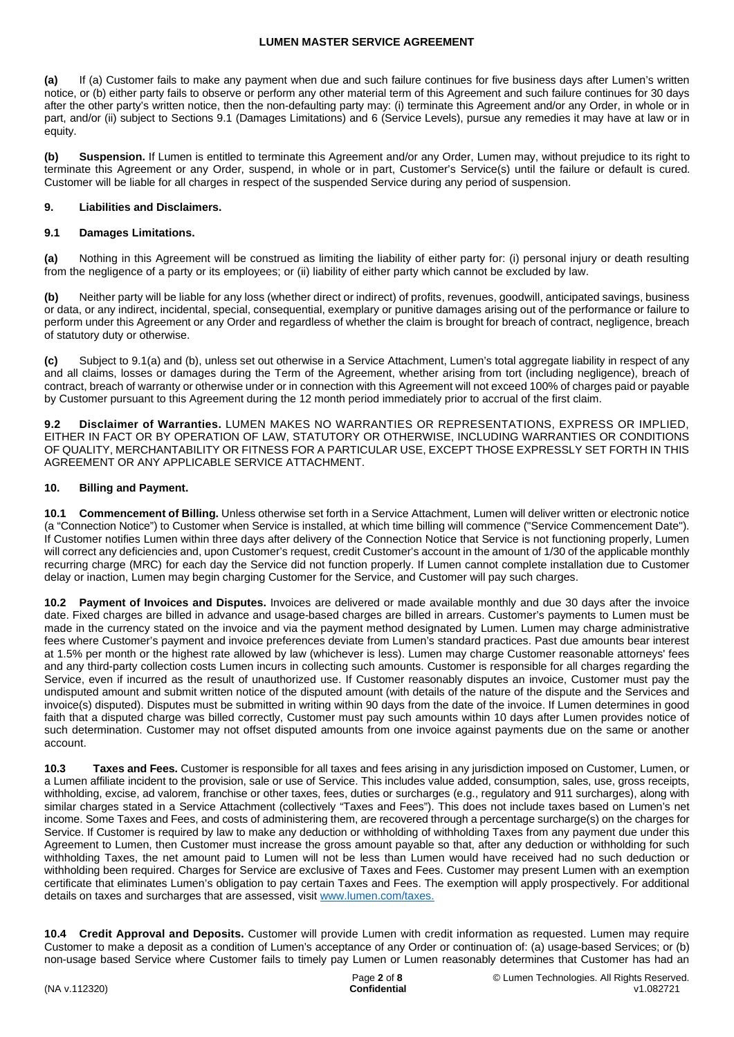**(a)** If (a) Customer fails to make any payment when due and such failure continues for five business days after Lumen's written notice, or (b) either party fails to observe or perform any other material term of this Agreement and such failure continues for 30 days after the other party's written notice, then the non-defaulting party may: (i) terminate this Agreement and/or any Order, in whole or in part, and/or (ii) subject to Sections 9.1 (Damages Limitations) and 6 (Service Levels), pursue any remedies it may have at law or in equity.

**(b) Suspension.** If Lumen is entitled to terminate this Agreement and/or any Order, Lumen may, without prejudice to its right to terminate this Agreement or any Order, suspend, in whole or in part, Customer's Service(s) until the failure or default is cured. Customer will be liable for all charges in respect of the suspended Service during any period of suspension.

# **9. Liabilities and Disclaimers.**

# **9.1 Damages Limitations.**

**(a)** Nothing in this Agreement will be construed as limiting the liability of either party for: (i) personal injury or death resulting from the negligence of a party or its employees; or (ii) liability of either party which cannot be excluded by law.

**(b)** Neither party will be liable for any loss (whether direct or indirect) of profits, revenues, goodwill, anticipated savings, business or data, or any indirect, incidental, special, consequential, exemplary or punitive damages arising out of the performance or failure to perform under this Agreement or any Order and regardless of whether the claim is brought for breach of contract, negligence, breach of statutory duty or otherwise.

**(c)** Subject to 9.1(a) and (b), unless set out otherwise in a Service Attachment, Lumen's total aggregate liability in respect of any and all claims, losses or damages during the Term of the Agreement, whether arising from tort (including negligence), breach of contract, breach of warranty or otherwise under or in connection with this Agreement will not exceed 100% of charges paid or payable by Customer pursuant to this Agreement during the 12 month period immediately prior to accrual of the first claim.

**9.2 Disclaimer of Warranties.** LUMEN MAKES NO WARRANTIES OR REPRESENTATIONS, EXPRESS OR IMPLIED, EITHER IN FACT OR BY OPERATION OF LAW, STATUTORY OR OTHERWISE, INCLUDING WARRANTIES OR CONDITIONS OF QUALITY, MERCHANTABILITY OR FITNESS FOR A PARTICULAR USE, EXCEPT THOSE EXPRESSLY SET FORTH IN THIS AGREEMENT OR ANY APPLICABLE SERVICE ATTACHMENT.

# **10. Billing and Payment.**

**10.1 Commencement of Billing.** Unless otherwise set forth in a Service Attachment, Lumen will deliver written or electronic notice (a "Connection Notice") to Customer when Service is installed, at which time billing will commence ("Service Commencement Date"). If Customer notifies Lumen within three days after delivery of the Connection Notice that Service is not functioning properly, Lumen will correct any deficiencies and, upon Customer's request, credit Customer's account in the amount of 1/30 of the applicable monthly recurring charge (MRC) for each day the Service did not function properly. If Lumen cannot complete installation due to Customer delay or inaction, Lumen may begin charging Customer for the Service, and Customer will pay such charges.

**10.2 Payment of Invoices and Disputes.** Invoices are delivered or made available monthly and due 30 days after the invoice date. Fixed charges are billed in advance and usage-based charges are billed in arrears. Customer's payments to Lumen must be made in the currency stated on the invoice and via the payment method designated by Lumen. Lumen may charge administrative fees where Customer's payment and invoice preferences deviate from Lumen's standard practices. Past due amounts bear interest at 1.5% per month or the highest rate allowed by law (whichever is less). Lumen may charge Customer reasonable attorneys' fees and any third-party collection costs Lumen incurs in collecting such amounts. Customer is responsible for all charges regarding the Service, even if incurred as the result of unauthorized use. If Customer reasonably disputes an invoice, Customer must pay the undisputed amount and submit written notice of the disputed amount (with details of the nature of the dispute and the Services and invoice(s) disputed). Disputes must be submitted in writing within 90 days from the date of the invoice. If Lumen determines in good faith that a disputed charge was billed correctly, Customer must pay such amounts within 10 days after Lumen provides notice of such determination. Customer may not offset disputed amounts from one invoice against payments due on the same or another account.

**10.3 Taxes and Fees.** Customer is responsible for all taxes and fees arising in any jurisdiction imposed on Customer, Lumen, or a Lumen affiliate incident to the provision, sale or use of Service. This includes value added, consumption, sales, use, gross receipts, withholding, excise, ad valorem, franchise or other taxes, fees, duties or surcharges (e.g., regulatory and 911 surcharges), along with similar charges stated in a Service Attachment (collectively "Taxes and Fees"). This does not include taxes based on Lumen's net income. Some Taxes and Fees, and costs of administering them, are recovered through a percentage surcharge(s) on the charges for Service. If Customer is required by law to make any deduction or withholding of withholding Taxes from any payment due under this Agreement to Lumen, then Customer must increase the gross amount payable so that, after any deduction or withholding for such withholding Taxes, the net amount paid to Lumen will not be less than Lumen would have received had no such deduction or withholding been required. Charges for Service are exclusive of Taxes and Fees. Customer may present Lumen with an exemption certificate that eliminates Lumen's obligation to pay certain Taxes and Fees. The exemption will apply prospectively. For additional details on taxes and surcharges that are assessed, visit [www.lumen.com/taxes.](http://www.lumen.com/taxes)

**10.4 Credit Approval and Deposits.** Customer will provide Lumen with credit information as requested. Lumen may require Customer to make a deposit as a condition of Lumen's acceptance of any Order or continuation of: (a) usage-based Services; or (b) non-usage based Service where Customer fails to timely pay Lumen or Lumen reasonably determines that Customer has had an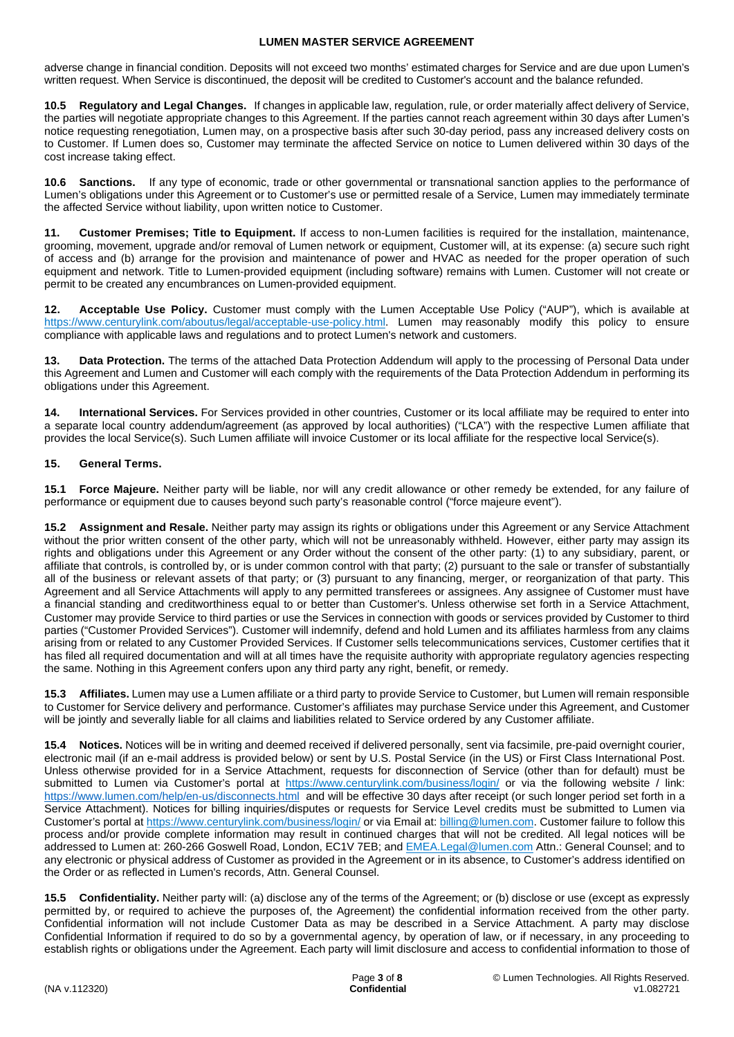adverse change in financial condition. Deposits will not exceed two months' estimated charges for Service and are due upon Lumen's written request. When Service is discontinued, the deposit will be credited to Customer's account and the balance refunded.

**10.5 Regulatory and Legal Changes.** If changes in applicable law, regulation, rule, or order materially affect delivery of Service, the parties will negotiate appropriate changes to this Agreement. If the parties cannot reach agreement within 30 days after Lumen's notice requesting renegotiation, Lumen may, on a prospective basis after such 30-day period, pass any increased delivery costs on to Customer. If Lumen does so, Customer may terminate the affected Service on notice to Lumen delivered within 30 days of the cost increase taking effect.

**10.6 Sanctions.** If any type of economic, trade or other governmental or transnational sanction applies to the performance of Lumen's obligations under this Agreement or to Customer's use or permitted resale of a Service, Lumen may immediately terminate the affected Service without liability, upon written notice to Customer.

**11. Customer Premises; Title to Equipment.** If access to non-Lumen facilities is required for the installation, maintenance, grooming, movement, upgrade and/or removal of Lumen network or equipment, Customer will, at its expense: (a) secure such right of access and (b) arrange for the provision and maintenance of power and HVAC as needed for the proper operation of such equipment and network. Title to Lumen-provided equipment (including software) remains with Lumen. Customer will not create or permit to be created any encumbrances on Lumen-provided equipment.

**12. Acceptable Use Policy.** Customer must comply with the Lumen Acceptable Use Policy ("AUP"), which is available at [https://www.centurylink.com/aboutus/legal/acceptable-use-policy.html.](https://www.centurylink.com/aboutus/legal/acceptable-use-policy.html) Lumen may reasonably modify this policy to ensure compliance with applicable laws and regulations and to protect Lumen's network and customers.

**13. Data Protection.** The terms of the attached Data Protection Addendum will apply to the processing of Personal Data under this Agreement and Lumen and Customer will each comply with the requirements of the Data Protection Addendum in performing its obligations under this Agreement.

**14. International Services.** For Services provided in other countries, Customer or its local affiliate may be required to enter into a separate local country addendum/agreement (as approved by local authorities) ("LCA") with the respective Lumen affiliate that provides the local Service(s). Such Lumen affiliate will invoice Customer or its local affiliate for the respective local Service(s).

# **15. General Terms.**

**15.1 Force Majeure.** Neither party will be liable, nor will any credit allowance or other remedy be extended, for any failure of performance or equipment due to causes beyond such party's reasonable control ("force majeure event").

**15.2 Assignment and Resale.** Neither party may assign its rights or obligations under this Agreement or any Service Attachment without the prior written consent of the other party, which will not be unreasonably withheld. However, either party may assign its rights and obligations under this Agreement or any Order without the consent of the other party: (1) to any subsidiary, parent, or affiliate that controls, is controlled by, or is under common control with that party; (2) pursuant to the sale or transfer of substantially all of the business or relevant assets of that party; or (3) pursuant to any financing, merger, or reorganization of that party. This Agreement and all Service Attachments will apply to any permitted transferees or assignees. Any assignee of Customer must have a financial standing and creditworthiness equal to or better than Customer's. Unless otherwise set forth in a Service Attachment, Customer may provide Service to third parties or use the Services in connection with goods or services provided by Customer to third parties ("Customer Provided Services"). Customer will indemnify, defend and hold Lumen and its affiliates harmless from any claims arising from or related to any Customer Provided Services. If Customer sells telecommunications services, Customer certifies that it has filed all required documentation and will at all times have the requisite authority with appropriate regulatory agencies respecting the same. Nothing in this Agreement confers upon any third party any right, benefit, or remedy.

**15.3 Affiliates.** Lumen may use a Lumen affiliate or a third party to provide Service to Customer, but Lumen will remain responsible to Customer for Service delivery and performance. Customer's affiliates may purchase Service under this Agreement, and Customer will be jointly and severally liable for all claims and liabilities related to Service ordered by any Customer affiliate.

**15.4 Notices.** Notices will be in writing and deemed received if delivered personally, sent via facsimile, pre-paid overnight courier, electronic mail (if an e-mail address is provided below) or sent by U.S. Postal Service (in the US) or First Class International Post. Unless otherwise provided for in a Service Attachment, requests for disconnection of Service (other than for default) must be submitted to Lumen via Customer's portal at <https://www.centurylink.com/business/login/> or via the following website / link: <https://www.lumen.com/help/en-us/disconnects.html> and will be effective 30 days after receipt (or such longer period set forth in a Service Attachment). Notices for billing inquiries/disputes or requests for Service Level credits must be submitted to Lumen via Customer's portal at<https://www.centurylink.com/business/login/>or via Email at: [billing@lumen.com](mailto:billing@lumen.com). Customer failure to follow this process and/or provide complete information may result in continued charges that will not be credited. All legal notices will be addressed to Lumen at: 260-266 Goswell Road, London, EC1V 7EB; and [EMEA.Legal@lumen.com](mailto:EMEA.Legal@lumen.com) Attn.: General Counsel; and to any electronic or physical address of Customer as provided in the Agreement or in its absence, to Customer's address identified on the Order or as reflected in Lumen's records, Attn. General Counsel.

**15.5 Confidentiality.** Neither party will: (a) disclose any of the terms of the Agreement; or (b) disclose or use (except as expressly permitted by, or required to achieve the purposes of, the Agreement) the confidential information received from the other party. Confidential information will not include Customer Data as may be described in a Service Attachment. A party may disclose Confidential Information if required to do so by a governmental agency, by operation of law, or if necessary, in any proceeding to establish rights or obligations under the Agreement. Each party will limit disclosure and access to confidential information to those of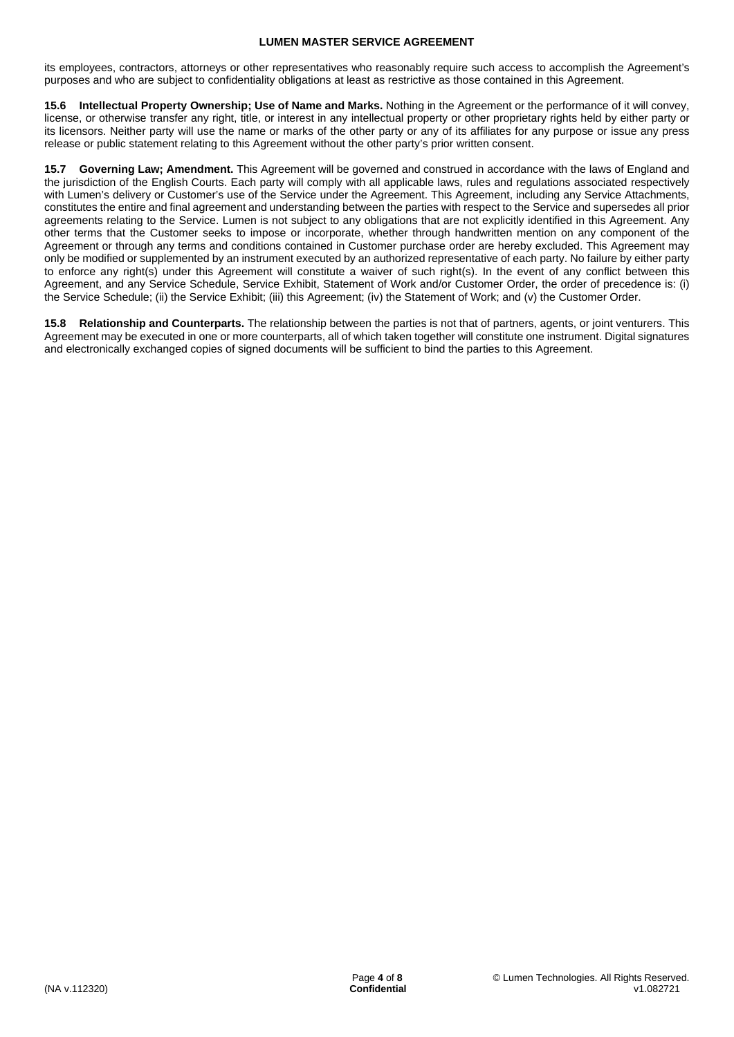its employees, contractors, attorneys or other representatives who reasonably require such access to accomplish the Agreement's purposes and who are subject to confidentiality obligations at least as restrictive as those contained in this Agreement.

**15.6 Intellectual Property Ownership; Use of Name and Marks.** Nothing in the Agreement or the performance of it will convey, license, or otherwise transfer any right, title, or interest in any intellectual property or other proprietary rights held by either party or its licensors. Neither party will use the name or marks of the other party or any of its affiliates for any purpose or issue any press release or public statement relating to this Agreement without the other party's prior written consent.

**15.7 Governing Law; Amendment.** This Agreement will be governed and construed in accordance with the laws of England and the jurisdiction of the English Courts. Each party will comply with all applicable laws, rules and regulations associated respectively with Lumen's delivery or Customer's use of the Service under the Agreement. This Agreement, including any Service Attachments, constitutes the entire and final agreement and understanding between the parties with respect to the Service and supersedes all prior agreements relating to the Service. Lumen is not subject to any obligations that are not explicitly identified in this Agreement. Any other terms that the Customer seeks to impose or incorporate, whether through handwritten mention on any component of the Agreement or through any terms and conditions contained in Customer purchase order are hereby excluded. This Agreement may only be modified or supplemented by an instrument executed by an authorized representative of each party. No failure by either party to enforce any right(s) under this Agreement will constitute a waiver of such right(s). In the event of any conflict between this Agreement, and any Service Schedule, Service Exhibit, Statement of Work and/or Customer Order, the order of precedence is: (i) the Service Schedule; (ii) the Service Exhibit; (iii) this Agreement; (iv) the Statement of Work; and (v) the Customer Order.

**15.8 Relationship and Counterparts.** The relationship between the parties is not that of partners, agents, or joint venturers. This Agreement may be executed in one or more counterparts, all of which taken together will constitute one instrument. Digital signatures and electronically exchanged copies of signed documents will be sufficient to bind the parties to this Agreement.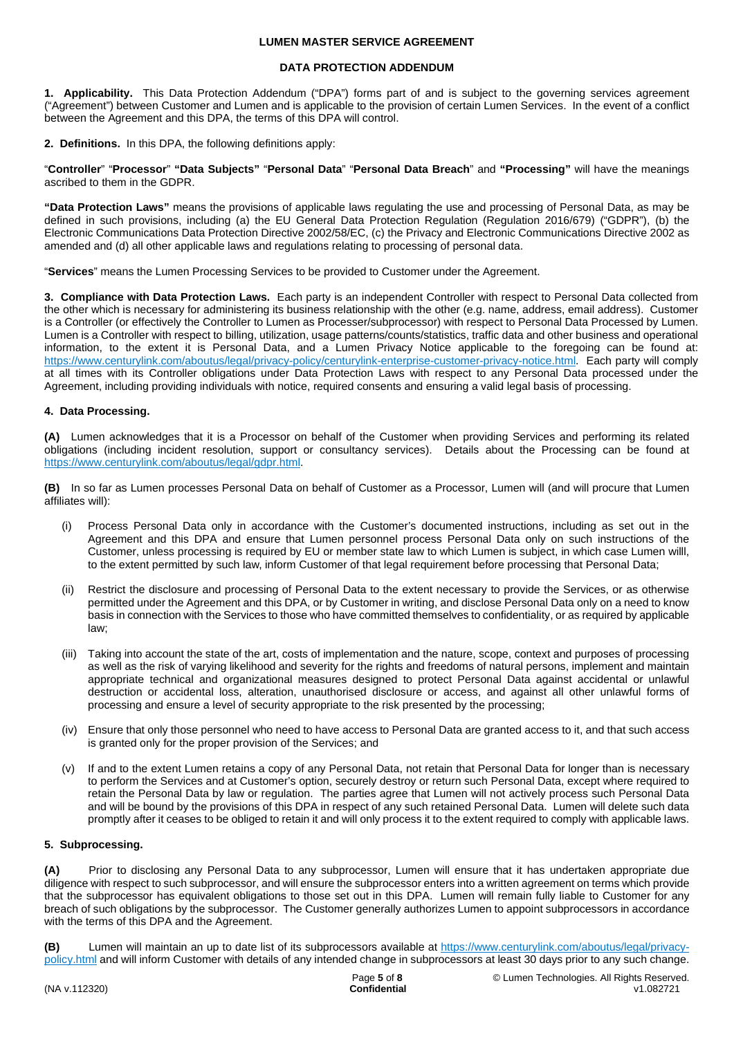### **DATA PROTECTION ADDENDUM**

**1. Applicability.** This Data Protection Addendum ("DPA") forms part of and is subject to the governing services agreement ("Agreement") between Customer and Lumen and is applicable to the provision of certain Lumen Services. In the event of a conflict between the Agreement and this DPA, the terms of this DPA will control.

**2. Definitions.** In this DPA, the following definitions apply:

"**Controller**" "**Processor**" **"Data Subjects"** "**Personal Data**" "**Personal Data Breach**" and **"Processing"** will have the meanings ascribed to them in the GDPR.

**"Data Protection Laws"** means the provisions of applicable laws regulating the use and processing of Personal Data, as may be defined in such provisions, including (a) the EU General Data Protection Regulation (Regulation 2016/679) ("GDPR"), (b) the Electronic Communications Data Protection Directive 2002/58/EC, (c) the Privacy and Electronic Communications Directive 2002 as amended and (d) all other applicable laws and regulations relating to processing of personal data.

"**Services**" means the Lumen Processing Services to be provided to Customer under the Agreement.

**3. Compliance with Data Protection Laws.** Each party is an independent Controller with respect to Personal Data collected from the other which is necessary for administering its business relationship with the other (e.g. name, address, email address). Customer is a Controller (or effectively the Controller to Lumen as Processer/subprocessor) with respect to Personal Data Processed by Lumen. Lumen is a Controller with respect to billing, utilization, usage patterns/counts/statistics, traffic data and other business and operational information, to the extent it is Personal Data, and a Lumen Privacy Notice applicable to the foregoing can be found at: <https://www.centurylink.com/aboutus/legal/privacy-policy/centurylink-enterprise-customer-privacy-notice.html>. Each party will comply at all times with its Controller obligations under Data Protection Laws with respect to any Personal Data processed under the Agreement, including providing individuals with notice, required consents and ensuring a valid legal basis of processing.

# **4. Data Processing.**

**(A)** Lumen acknowledges that it is a Processor on behalf of the Customer when providing Services and performing its related obligations (including incident resolution, support or consultancy services). Details about the Processing can be found at [https://www.centurylink.com/aboutus/legal/gdpr.html.](https://www.centurylink.com/aboutus/legal/gdpr.html)

**(B)** In so far as Lumen processes Personal Data on behalf of Customer as a Processor, Lumen will (and will procure that Lumen affiliates will):

- (i) Process Personal Data only in accordance with the Customer's documented instructions, including as set out in the Agreement and this DPA and ensure that Lumen personnel process Personal Data only on such instructions of the Customer, unless processing is required by EU or member state law to which Lumen is subject, in which case Lumen willl, to the extent permitted by such law, inform Customer of that legal requirement before processing that Personal Data;
- (ii) Restrict the disclosure and processing of Personal Data to the extent necessary to provide the Services, or as otherwise permitted under the Agreement and this DPA, or by Customer in writing, and disclose Personal Data only on a need to know basis in connection with the Services to those who have committed themselves to confidentiality, or as required by applicable law;
- (iii) Taking into account the state of the art, costs of implementation and the nature, scope, context and purposes of processing as well as the risk of varying likelihood and severity for the rights and freedoms of natural persons, implement and maintain appropriate technical and organizational measures designed to protect Personal Data against accidental or unlawful destruction or accidental loss, alteration, unauthorised disclosure or access, and against all other unlawful forms of processing and ensure a level of security appropriate to the risk presented by the processing;
- (iv) Ensure that only those personnel who need to have access to Personal Data are granted access to it, and that such access is granted only for the proper provision of the Services; and
- (v) If and to the extent Lumen retains a copy of any Personal Data, not retain that Personal Data for longer than is necessary to perform the Services and at Customer's option, securely destroy or return such Personal Data, except where required to retain the Personal Data by law or regulation. The parties agree that Lumen will not actively process such Personal Data and will be bound by the provisions of this DPA in respect of any such retained Personal Data. Lumen will delete such data promptly after it ceases to be obliged to retain it and will only process it to the extent required to comply with applicable laws.

#### **5. Subprocessing.**

**(A)** Prior to disclosing any Personal Data to any subprocessor, Lumen will ensure that it has undertaken appropriate due diligence with respect to such subprocessor, and will ensure the subprocessor enters into a written agreement on terms which provide that the subprocessor has equivalent obligations to those set out in this DPA. Lumen will remain fully liable to Customer for any breach of such obligations by the subprocessor. The Customer generally authorizes Lumen to appoint subprocessors in accordance with the terms of this DPA and the Agreement.

**(B)** Lumen will maintain an up to date list of its subprocessors available at [https://www.centurylink.com/aboutus/legal/privacy](https://www.centurylink.com/aboutus/legal/privacy-policy.html)[policy.html and will inform Customer with details of any intended change in subprocessors at least 30 days prior to any such change.](https://www.centurylink.com/aboutus/legal/privacy-policy.html)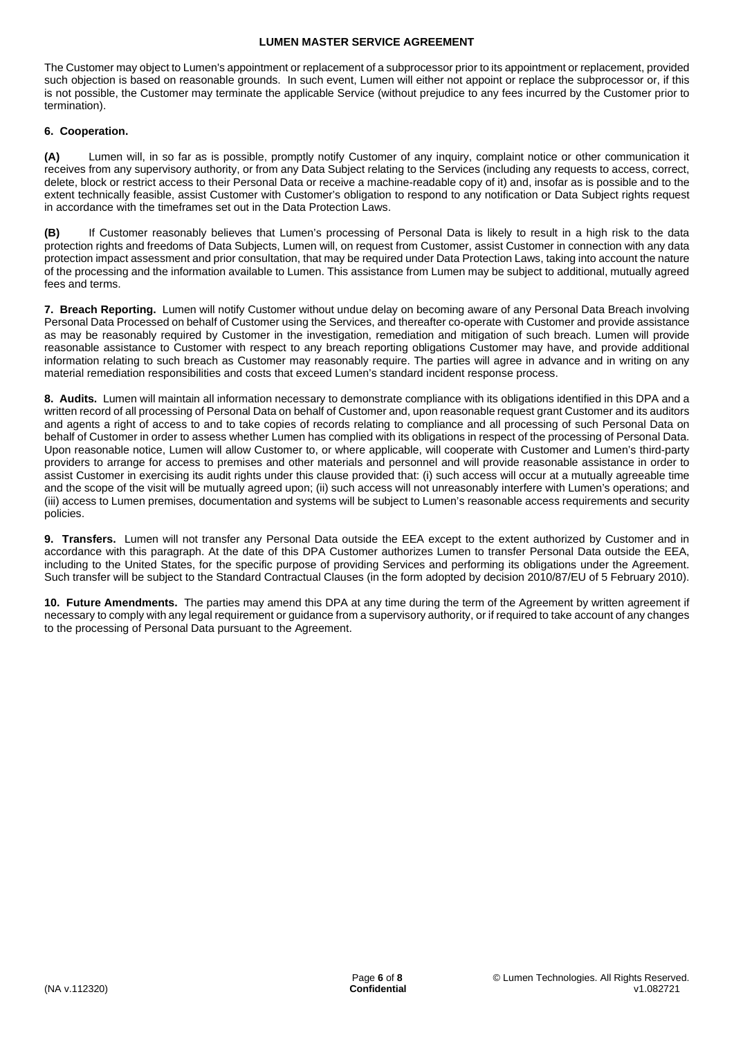The Customer may object to Lumen's appointment or replacement of a subprocessor prior to its appointment or replacement, provided such objection is based on reasonable grounds. In such event, Lumen will either not appoint or replace the subprocessor or, if this is not possible, the Customer may terminate the applicable Service (without prejudice to any fees incurred by the Customer prior to termination).

# **6. Cooperation.**

**(A)** Lumen will, in so far as is possible, promptly notify Customer of any inquiry, complaint notice or other communication it receives from any supervisory authority, or from any Data Subject relating to the Services (including any requests to access, correct, delete, block or restrict access to their Personal Data or receive a machine-readable copy of it) and, insofar as is possible and to the extent technically feasible, assist Customer with Customer's obligation to respond to any notification or Data Subject rights request in accordance with the timeframes set out in the Data Protection Laws.

**(B)** If Customer reasonably believes that Lumen's processing of Personal Data is likely to result in a high risk to the data protection rights and freedoms of Data Subjects, Lumen will, on request from Customer, assist Customer in connection with any data protection impact assessment and prior consultation, that may be required under Data Protection Laws, taking into account the nature of the processing and the information available to Lumen. This assistance from Lumen may be subject to additional, mutually agreed fees and terms.

**7. Breach Reporting.** Lumen will notify Customer without undue delay on becoming aware of any Personal Data Breach involving Personal Data Processed on behalf of Customer using the Services, and thereafter co-operate with Customer and provide assistance as may be reasonably required by Customer in the investigation, remediation and mitigation of such breach. Lumen will provide reasonable assistance to Customer with respect to any breach reporting obligations Customer may have, and provide additional information relating to such breach as Customer may reasonably require. The parties will agree in advance and in writing on any material remediation responsibilities and costs that exceed Lumen's standard incident response process.

**8. Audits.** Lumen will maintain all information necessary to demonstrate compliance with its obligations identified in this DPA and a written record of all processing of Personal Data on behalf of Customer and, upon reasonable request grant Customer and its auditors and agents a right of access to and to take copies of records relating to compliance and all processing of such Personal Data on behalf of Customer in order to assess whether Lumen has complied with its obligations in respect of the processing of Personal Data. Upon reasonable notice, Lumen will allow Customer to, or where applicable, will cooperate with Customer and Lumen's third-party providers to arrange for access to premises and other materials and personnel and will provide reasonable assistance in order to assist Customer in exercising its audit rights under this clause provided that: (i) such access will occur at a mutually agreeable time and the scope of the visit will be mutually agreed upon; (ii) such access will not unreasonably interfere with Lumen's operations; and (iii) access to Lumen premises, documentation and systems will be subject to Lumen's reasonable access requirements and security policies.

**9. Transfers.** Lumen will not transfer any Personal Data outside the EEA except to the extent authorized by Customer and in accordance with this paragraph. At the date of this DPA Customer authorizes Lumen to transfer Personal Data outside the EEA, including to the United States, for the specific purpose of providing Services and performing its obligations under the Agreement. Such transfer will be subject to the Standard Contractual Clauses (in the form adopted by decision 2010/87/EU of 5 February 2010).

**10. Future Amendments.** The parties may amend this DPA at any time during the term of the Agreement by written agreement if necessary to comply with any legal requirement or guidance from a supervisory authority, or if required to take account of any changes to the processing of Personal Data pursuant to the Agreement.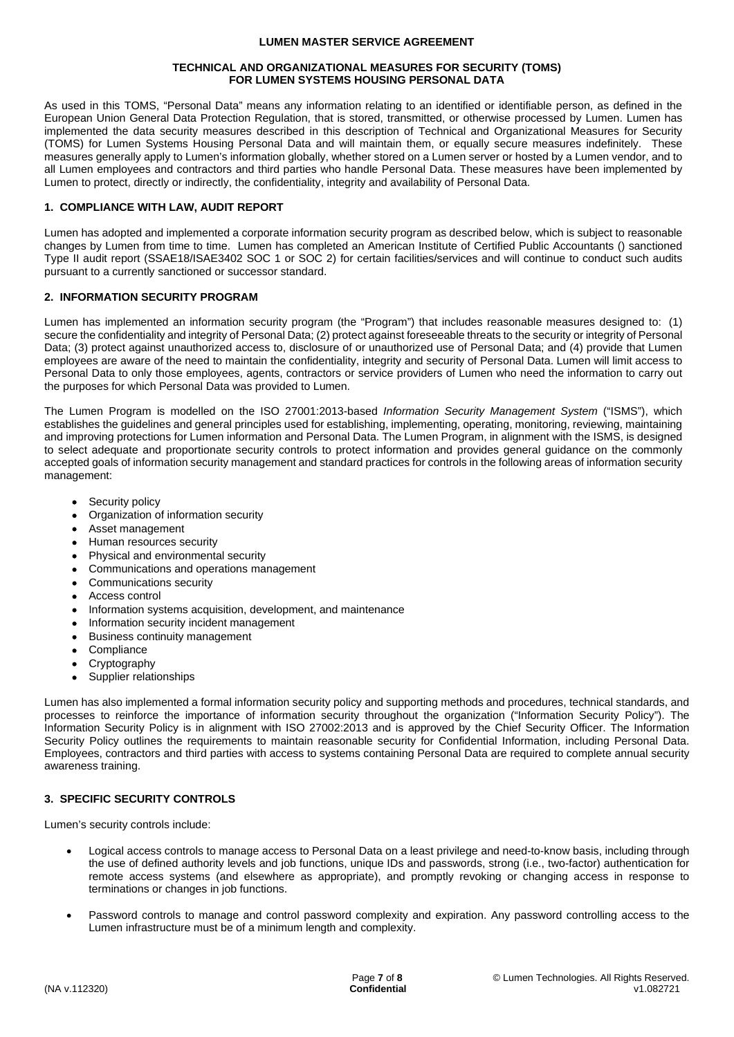#### **TECHNICAL AND ORGANIZATIONAL MEASURES FOR SECURITY (TOMS) FOR LUMEN SYSTEMS HOUSING PERSONAL DATA**

As used in this TOMS, "Personal Data" means any information relating to an identified or identifiable person, as defined in the European Union General Data Protection Regulation, that is stored, transmitted, or otherwise processed by Lumen. Lumen has implemented the data security measures described in this description of Technical and Organizational Measures for Security (TOMS) for Lumen Systems Housing Personal Data and will maintain them, or equally secure measures indefinitely. These measures generally apply to Lumen's information globally, whether stored on a Lumen server or hosted by a Lumen vendor, and to all Lumen employees and contractors and third parties who handle Personal Data. These measures have been implemented by Lumen to protect, directly or indirectly, the confidentiality, integrity and availability of Personal Data.

### **1. COMPLIANCE WITH LAW, AUDIT REPORT**

Lumen has adopted and implemented a corporate information security program as described below, which is subject to reasonable changes by Lumen from time to time. Lumen has completed an American Institute of Certified Public Accountants () sanctioned Type II audit report (SSAE18/ISAE3402 SOC 1 or SOC 2) for certain facilities/services and will continue to conduct such audits pursuant to a currently sanctioned or successor standard.

### **2. INFORMATION SECURITY PROGRAM**

Lumen has implemented an information security program (the "Program") that includes reasonable measures designed to: (1) secure the confidentiality and integrity of Personal Data; (2) protect against foreseeable threats to the security or integrity of Personal Data; (3) protect against unauthorized access to, disclosure of or unauthorized use of Personal Data; and (4) provide that Lumen employees are aware of the need to maintain the confidentiality, integrity and security of Personal Data. Lumen will limit access to Personal Data to only those employees, agents, contractors or service providers of Lumen who need the information to carry out the purposes for which Personal Data was provided to Lumen.

The Lumen Program is modelled on the ISO 27001:2013-based *Information Security Management System* ("ISMS"), which establishes the guidelines and general principles used for establishing, implementing, operating, monitoring, reviewing, maintaining and improving protections for Lumen information and Personal Data. The Lumen Program, in alignment with the ISMS, is designed to select adequate and proportionate security controls to protect information and provides general guidance on the commonly accepted goals of information security management and standard practices for controls in the following areas of information security management:

- Security policy
- Organization of information security
- Asset management
- Human resources security
- Physical and environmental security
- Communications and operations management
- Communications security
- Access control
- Information systems acquisition, development, and maintenance
- Information security incident management
- Business continuity management
- Compliance
- Cryptography
- Supplier relationships

Lumen has also implemented a formal information security policy and supporting methods and procedures, technical standards, and processes to reinforce the importance of information security throughout the organization ("Information Security Policy"). The Information Security Policy is in alignment with ISO 27002:2013 and is approved by the Chief Security Officer. The Information Security Policy outlines the requirements to maintain reasonable security for Confidential Information, including Personal Data. Employees, contractors and third parties with access to systems containing Personal Data are required to complete annual security awareness training.

# **3. SPECIFIC SECURITY CONTROLS**

Lumen's security controls include:

- Logical access controls to manage access to Personal Data on a least privilege and need-to-know basis, including through the use of defined authority levels and job functions, unique IDs and passwords, strong (i.e., two-factor) authentication for remote access systems (and elsewhere as appropriate), and promptly revoking or changing access in response to terminations or changes in job functions.
- Password controls to manage and control password complexity and expiration. Any password controlling access to the Lumen infrastructure must be of a minimum length and complexity.